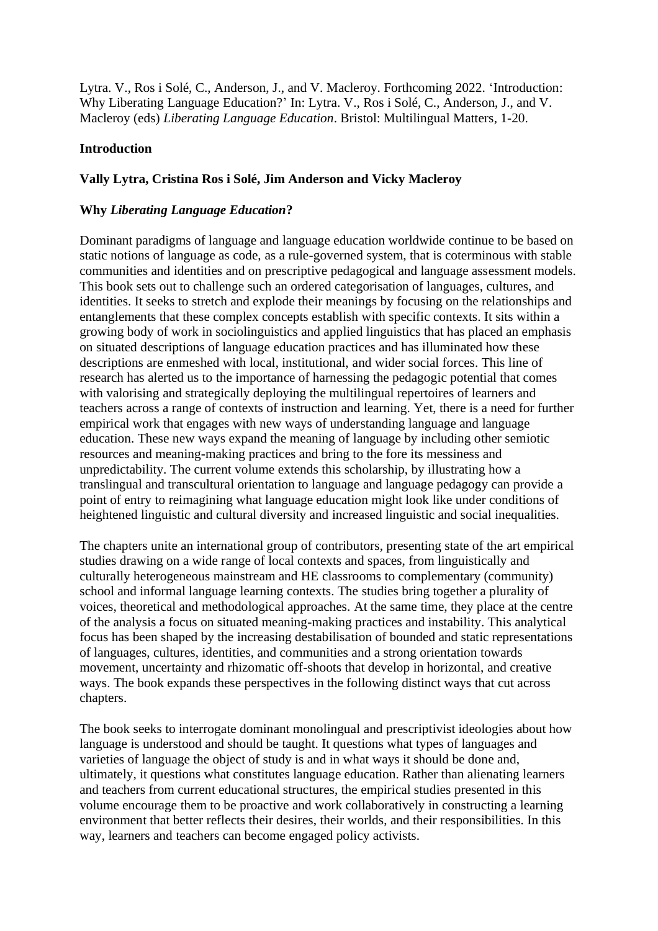Lytra. V., Ros i Solé, C., Anderson, J., and V. Macleroy. Forthcoming 2022. 'Introduction: Why Liberating Language Education?' In: Lytra. V., Ros i Solé, C., Anderson, J., and V. Macleroy (eds) *Liberating Language Education*. Bristol: Multilingual Matters, 1-20.

# **Introduction**

## **Vally Lytra, Cristina Ros i Solé, Jim Anderson and Vicky Macleroy**

# **Why** *Liberating Language Education***?**

Dominant paradigms of language and language education worldwide continue to be based on static notions of language as code, as a rule-governed system, that is coterminous with stable communities and identities and on prescriptive pedagogical and language assessment models. This book sets out to challenge such an ordered categorisation of languages, cultures, and identities. It seeks to stretch and explode their meanings by focusing on the relationships and entanglements that these complex concepts establish with specific contexts. It sits within a growing body of work in sociolinguistics and applied linguistics that has placed an emphasis on situated descriptions of language education practices and has illuminated how these descriptions are enmeshed with local, institutional, and wider social forces. This line of research has alerted us to the importance of harnessing the pedagogic potential that comes with valorising and strategically deploying the multilingual repertoires of learners and teachers across a range of contexts of instruction and learning. Yet, there is a need for further empirical work that engages with new ways of understanding language and language education. These new ways expand the meaning of language by including other semiotic resources and meaning-making practices and bring to the fore its messiness and unpredictability. The current volume extends this scholarship, by illustrating how a translingual and transcultural orientation to language and language pedagogy can provide a point of entry to reimagining what language education might look like under conditions of heightened linguistic and cultural diversity and increased linguistic and social inequalities.

The chapters unite an international group of contributors, presenting state of the art empirical studies drawing on a wide range of local contexts and spaces, from linguistically and culturally heterogeneous mainstream and HE classrooms to complementary (community) school and informal language learning contexts. The studies bring together a plurality of voices, theoretical and methodological approaches. At the same time, they place at the centre of the analysis a focus on situated meaning-making practices and instability. This analytical focus has been shaped by the increasing destabilisation of bounded and static representations of languages, cultures, identities, and communities and a strong orientation towards movement, uncertainty and rhizomatic off-shoots that develop in horizontal, and creative ways. The book expands these perspectives in the following distinct ways that cut across chapters.

The book seeks to interrogate dominant monolingual and prescriptivist ideologies about how language is understood and should be taught. It questions what types of languages and varieties of language the object of study is and in what ways it should be done and, ultimately, it questions what constitutes language education. Rather than alienating learners and teachers from current educational structures, the empirical studies presented in this volume encourage them to be proactive and work collaboratively in constructing a learning environment that better reflects their desires, their worlds, and their responsibilities. In this way, learners and teachers can become engaged policy activists.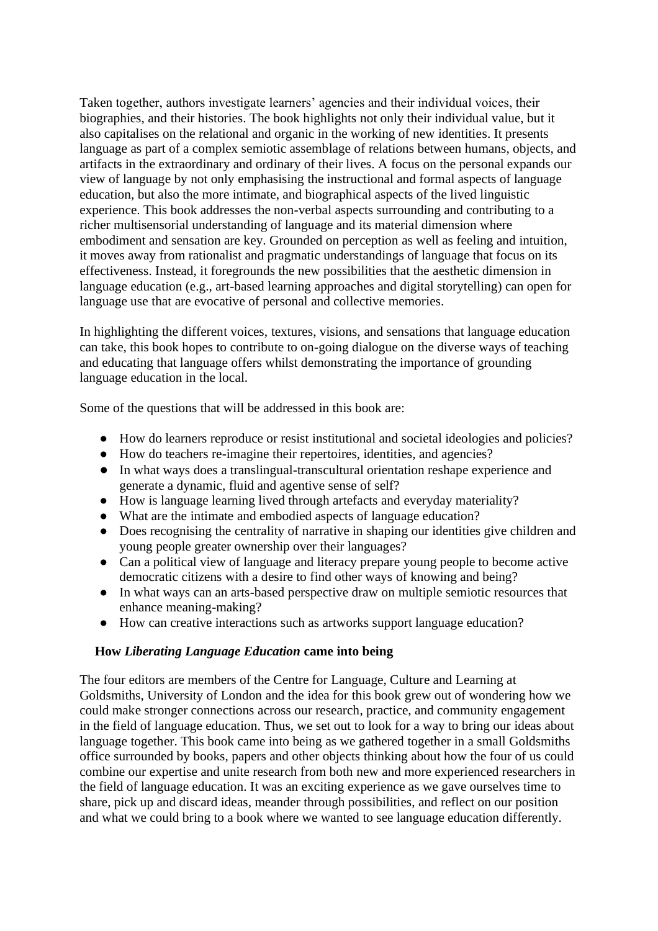Taken together, authors investigate learners' agencies and their individual voices, their biographies, and their histories. The book highlights not only their individual value, but it also capitalises on the relational and organic in the working of new identities. It presents language as part of a complex semiotic assemblage of relations between humans, objects, and artifacts in the extraordinary and ordinary of their lives. A focus on the personal expands our view of language by not only emphasising the instructional and formal aspects of language education, but also the more intimate, and biographical aspects of the lived linguistic experience. This book addresses the non-verbal aspects surrounding and contributing to a richer multisensorial understanding of language and its material dimension where embodiment and sensation are key. Grounded on perception as well as feeling and intuition, it moves away from rationalist and pragmatic understandings of language that focus on its effectiveness. Instead, it foregrounds the new possibilities that the aesthetic dimension in language education (e.g., art-based learning approaches and digital storytelling) can open for language use that are evocative of personal and collective memories.

In highlighting the different voices, textures, visions, and sensations that language education can take, this book hopes to contribute to on-going dialogue on the diverse ways of teaching and educating that language offers whilst demonstrating the importance of grounding language education in the local.

Some of the questions that will be addressed in this book are:

- How do learners reproduce or resist institutional and societal ideologies and policies?
- How do teachers re-imagine their repertoires, identities, and agencies?
- In what ways does a translingual-transcultural orientation reshape experience and generate a dynamic, fluid and agentive sense of self?
- How is language learning lived through artefacts and everyday materiality?
- What are the intimate and embodied aspects of language education?
- Does recognising the centrality of narrative in shaping our identities give children and young people greater ownership over their languages?
- Can a political view of language and literacy prepare young people to become active democratic citizens with a desire to find other ways of knowing and being?
- In what ways can an arts-based perspective draw on multiple semiotic resources that enhance meaning-making?
- How can creative interactions such as artworks support language education?

### **How** *Liberating Language Education* **came into being**

The four editors are members of the Centre for Language, Culture and Learning at Goldsmiths, University of London and the idea for this book grew out of wondering how we could make stronger connections across our research, practice, and community engagement in the field of language education. Thus, we set out to look for a way to bring our ideas about language together. This book came into being as we gathered together in a small Goldsmiths office surrounded by books, papers and other objects thinking about how the four of us could combine our expertise and unite research from both new and more experienced researchers in the field of language education. It was an exciting experience as we gave ourselves time to share, pick up and discard ideas, meander through possibilities, and reflect on our position and what we could bring to a book where we wanted to see language education differently.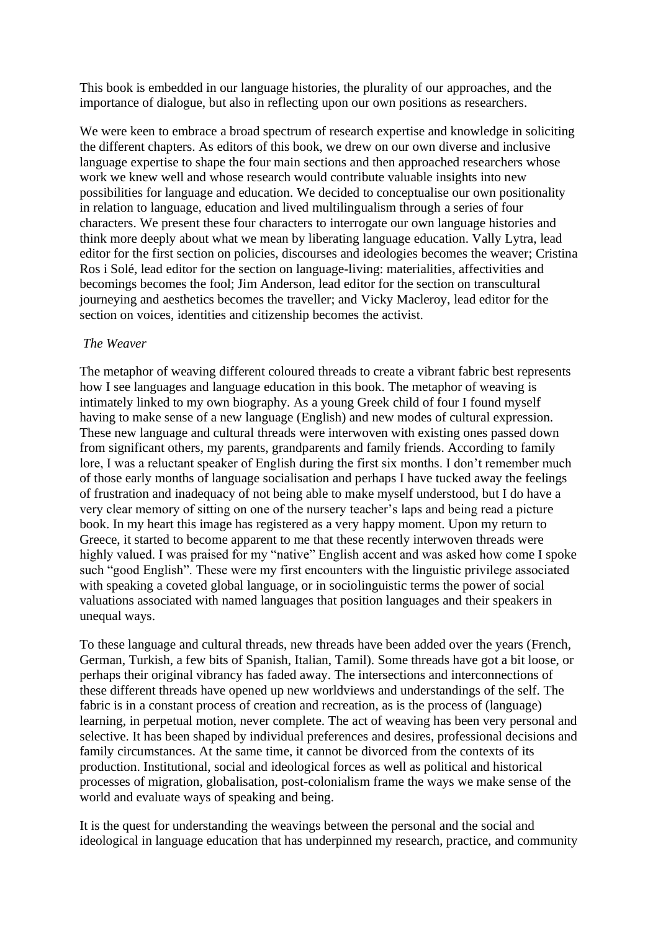This book is embedded in our language histories, the plurality of our approaches, and the importance of dialogue, but also in reflecting upon our own positions as researchers.

We were keen to embrace a broad spectrum of research expertise and knowledge in soliciting the different chapters. As editors of this book, we drew on our own diverse and inclusive language expertise to shape the four main sections and then approached researchers whose work we knew well and whose research would contribute valuable insights into new possibilities for language and education. We decided to conceptualise our own positionality in relation to language, education and lived multilingualism through a series of four characters. We present these four characters to interrogate our own language histories and think more deeply about what we mean by liberating language education. Vally Lytra, lead editor for the first section on policies, discourses and ideologies becomes the weaver; Cristina Ros i Solé, lead editor for the section on language-living: materialities, affectivities and becomings becomes the fool; Jim Anderson, lead editor for the section on transcultural journeying and aesthetics becomes the traveller; and Vicky Macleroy, lead editor for the section on voices, identities and citizenship becomes the activist.

### *The Weaver*

The metaphor of weaving different coloured threads to create a vibrant fabric best represents how I see languages and language education in this book. The metaphor of weaving is intimately linked to my own biography. As a young Greek child of four I found myself having to make sense of a new language (English) and new modes of cultural expression. These new language and cultural threads were interwoven with existing ones passed down from significant others, my parents, grandparents and family friends. According to family lore, I was a reluctant speaker of English during the first six months. I don't remember much of those early months of language socialisation and perhaps I have tucked away the feelings of frustration and inadequacy of not being able to make myself understood, but I do have a very clear memory of sitting on one of the nursery teacher's laps and being read a picture book. In my heart this image has registered as a very happy moment. Upon my return to Greece, it started to become apparent to me that these recently interwoven threads were highly valued. I was praised for my "native" English accent and was asked how come I spoke such "good English". These were my first encounters with the linguistic privilege associated with speaking a coveted global language, or in sociolinguistic terms the power of social valuations associated with named languages that position languages and their speakers in unequal ways.

To these language and cultural threads, new threads have been added over the years (French, German, Turkish, a few bits of Spanish, Italian, Tamil). Some threads have got a bit loose, or perhaps their original vibrancy has faded away. The intersections and interconnections of these different threads have opened up new worldviews and understandings of the self. The fabric is in a constant process of creation and recreation, as is the process of (language) learning, in perpetual motion, never complete. The act of weaving has been very personal and selective. It has been shaped by individual preferences and desires, professional decisions and family circumstances. At the same time, it cannot be divorced from the contexts of its production. Institutional, social and ideological forces as well as political and historical processes of migration, globalisation, post-colonialism frame the ways we make sense of the world and evaluate ways of speaking and being.

It is the quest for understanding the weavings between the personal and the social and ideological in language education that has underpinned my research, practice, and community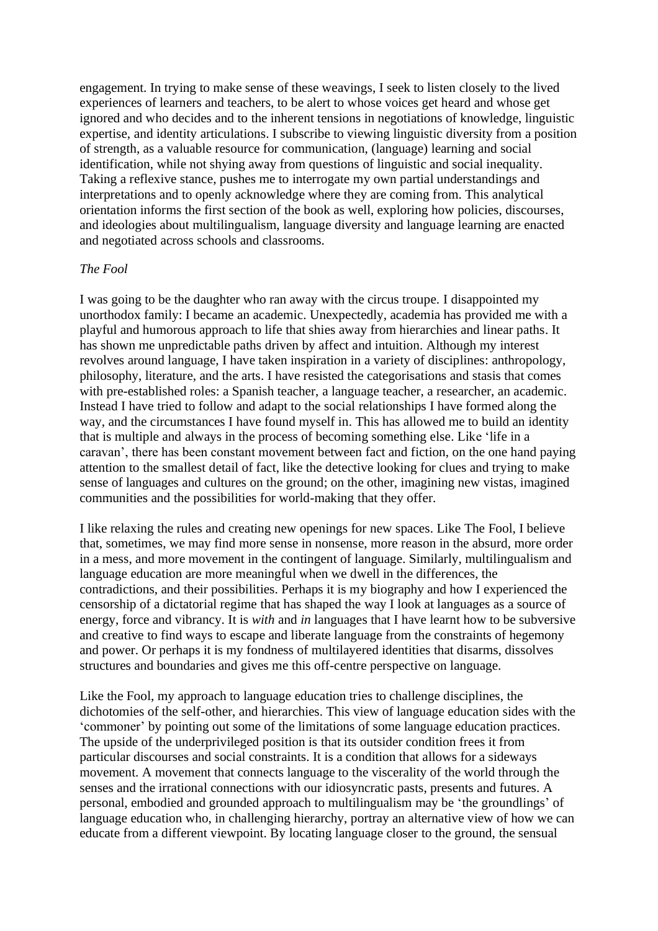engagement. In trying to make sense of these weavings, I seek to listen closely to the lived experiences of learners and teachers, to be alert to whose voices get heard and whose get ignored and who decides and to the inherent tensions in negotiations of knowledge, linguistic expertise, and identity articulations. I subscribe to viewing linguistic diversity from a position of strength, as a valuable resource for communication, (language) learning and social identification, while not shying away from questions of linguistic and social inequality. Taking a reflexive stance, pushes me to interrogate my own partial understandings and interpretations and to openly acknowledge where they are coming from. This analytical orientation informs the first section of the book as well, exploring how policies, discourses, and ideologies about multilingualism, language diversity and language learning are enacted and negotiated across schools and classrooms.

#### *The Fool*

I was going to be the daughter who ran away with the circus troupe. I disappointed my unorthodox family: I became an academic. Unexpectedly, academia has provided me with a playful and humorous approach to life that shies away from hierarchies and linear paths. It has shown me unpredictable paths driven by affect and intuition. Although my interest revolves around language, I have taken inspiration in a variety of disciplines: anthropology, philosophy, literature, and the arts. I have resisted the categorisations and stasis that comes with pre-established roles: a Spanish teacher, a language teacher, a researcher, an academic. Instead I have tried to follow and adapt to the social relationships I have formed along the way, and the circumstances I have found myself in. This has allowed me to build an identity that is multiple and always in the process of becoming something else. Like 'life in a caravan', there has been constant movement between fact and fiction, on the one hand paying attention to the smallest detail of fact, like the detective looking for clues and trying to make sense of languages and cultures on the ground; on the other, imagining new vistas, imagined communities and the possibilities for world-making that they offer.

I like relaxing the rules and creating new openings for new spaces. Like The Fool, I believe that, sometimes, we may find more sense in nonsense, more reason in the absurd, more order in a mess, and more movement in the contingent of language. Similarly, multilingualism and language education are more meaningful when we dwell in the differences, the contradictions, and their possibilities. Perhaps it is my biography and how I experienced the censorship of a dictatorial regime that has shaped the way I look at languages as a source of energy, force and vibrancy. It is *with* and *in* languages that I have learnt how to be subversive and creative to find ways to escape and liberate language from the constraints of hegemony and power. Or perhaps it is my fondness of multilayered identities that disarms, dissolves structures and boundaries and gives me this off-centre perspective on language.

Like the Fool, my approach to language education tries to challenge disciplines, the dichotomies of the self-other, and hierarchies. This view of language education sides with the 'commoner' by pointing out some of the limitations of some language education practices. The upside of the underprivileged position is that its outsider condition frees it from particular discourses and social constraints. It is a condition that allows for a sideways movement. A movement that connects language to the viscerality of the world through the senses and the irrational connections with our idiosyncratic pasts, presents and futures. A personal, embodied and grounded approach to multilingualism may be 'the groundlings' of language education who, in challenging hierarchy, portray an alternative view of how we can educate from a different viewpoint. By locating language closer to the ground, the sensual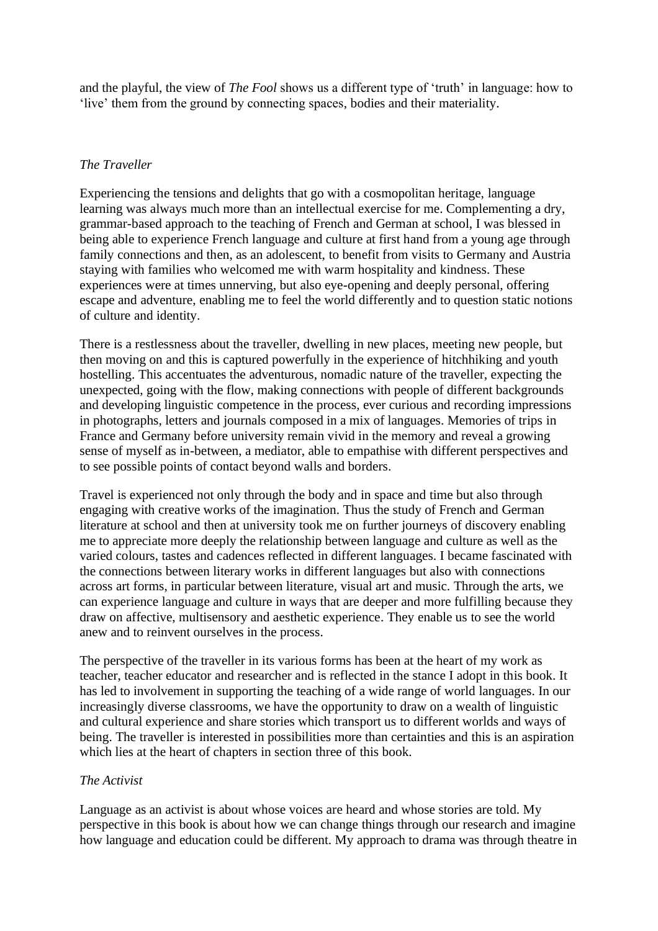and the playful, the view of *The Fool* shows us a different type of 'truth' in language: how to 'live' them from the ground by connecting spaces, bodies and their materiality.

### *The Traveller*

Experiencing the tensions and delights that go with a cosmopolitan heritage, language learning was always much more than an intellectual exercise for me. Complementing a dry, grammar-based approach to the teaching of French and German at school, I was blessed in being able to experience French language and culture at first hand from a young age through family connections and then, as an adolescent, to benefit from visits to Germany and Austria staying with families who welcomed me with warm hospitality and kindness. These experiences were at times unnerving, but also eye-opening and deeply personal, offering escape and adventure, enabling me to feel the world differently and to question static notions of culture and identity.

There is a restlessness about the traveller, dwelling in new places, meeting new people, but then moving on and this is captured powerfully in the experience of hitchhiking and youth hostelling. This accentuates the adventurous, nomadic nature of the traveller, expecting the unexpected, going with the flow, making connections with people of different backgrounds and developing linguistic competence in the process, ever curious and recording impressions in photographs, letters and journals composed in a mix of languages. Memories of trips in France and Germany before university remain vivid in the memory and reveal a growing sense of myself as in-between, a mediator, able to empathise with different perspectives and to see possible points of contact beyond walls and borders.

Travel is experienced not only through the body and in space and time but also through engaging with creative works of the imagination. Thus the study of French and German literature at school and then at university took me on further journeys of discovery enabling me to appreciate more deeply the relationship between language and culture as well as the varied colours, tastes and cadences reflected in different languages. I became fascinated with the connections between literary works in different languages but also with connections across art forms, in particular between literature, visual art and music. Through the arts, we can experience language and culture in ways that are deeper and more fulfilling because they draw on affective, multisensory and aesthetic experience. They enable us to see the world anew and to reinvent ourselves in the process.

The perspective of the traveller in its various forms has been at the heart of my work as teacher, teacher educator and researcher and is reflected in the stance I adopt in this book. It has led to involvement in supporting the teaching of a wide range of world languages. In our increasingly diverse classrooms, we have the opportunity to draw on a wealth of linguistic and cultural experience and share stories which transport us to different worlds and ways of being. The traveller is interested in possibilities more than certainties and this is an aspiration which lies at the heart of chapters in section three of this book.

## *The Activist*

Language as an activist is about whose voices are heard and whose stories are told. My perspective in this book is about how we can change things through our research and imagine how language and education could be different. My approach to drama was through theatre in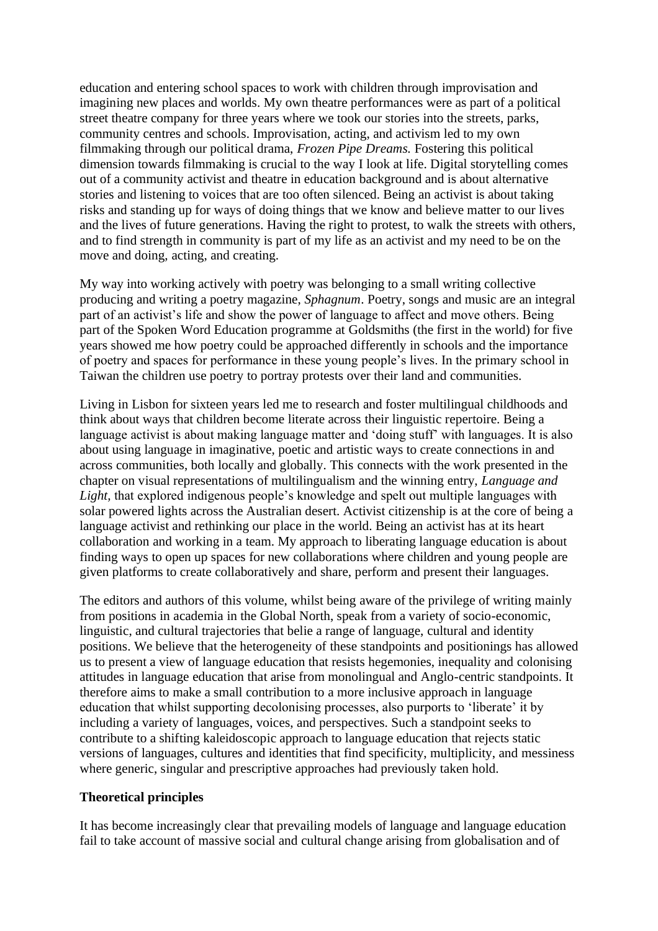education and entering school spaces to work with children through improvisation and imagining new places and worlds. My own theatre performances were as part of a political street theatre company for three years where we took our stories into the streets, parks, community centres and schools. Improvisation, acting, and activism led to my own filmmaking through our political drama, *Frozen Pipe Dreams.* Fostering this political dimension towards filmmaking is crucial to the way I look at life. Digital storytelling comes out of a community activist and theatre in education background and is about alternative stories and listening to voices that are too often silenced. Being an activist is about taking risks and standing up for ways of doing things that we know and believe matter to our lives and the lives of future generations. Having the right to protest, to walk the streets with others, and to find strength in community is part of my life as an activist and my need to be on the move and doing, acting, and creating.

My way into working actively with poetry was belonging to a small writing collective producing and writing a poetry magazine, *Sphagnum*. Poetry, songs and music are an integral part of an activist's life and show the power of language to affect and move others. Being part of the Spoken Word Education programme at Goldsmiths (the first in the world) for five years showed me how poetry could be approached differently in schools and the importance of poetry and spaces for performance in these young people's lives. In the primary school in Taiwan the children use poetry to portray protests over their land and communities.

Living in Lisbon for sixteen years led me to research and foster multilingual childhoods and think about ways that children become literate across their linguistic repertoire. Being a language activist is about making language matter and 'doing stuff' with languages. It is also about using language in imaginative, poetic and artistic ways to create connections in and across communities, both locally and globally. This connects with the work presented in the chapter on visual representations of multilingualism and the winning entry, *Language and*  Light, that explored indigenous people's knowledge and spelt out multiple languages with solar powered lights across the Australian desert. Activist citizenship is at the core of being a language activist and rethinking our place in the world. Being an activist has at its heart collaboration and working in a team. My approach to liberating language education is about finding ways to open up spaces for new collaborations where children and young people are given platforms to create collaboratively and share, perform and present their languages.

The editors and authors of this volume, whilst being aware of the privilege of writing mainly from positions in academia in the Global North, speak from a variety of socio-economic, linguistic, and cultural trajectories that belie a range of language, cultural and identity positions. We believe that the heterogeneity of these standpoints and positionings has allowed us to present a view of language education that resists hegemonies, inequality and colonising attitudes in language education that arise from monolingual and Anglo-centric standpoints. It therefore aims to make a small contribution to a more inclusive approach in language education that whilst supporting decolonising processes, also purports to 'liberate' it by including a variety of languages, voices, and perspectives. Such a standpoint seeks to contribute to a shifting kaleidoscopic approach to language education that rejects static versions of languages, cultures and identities that find specificity, multiplicity, and messiness where generic, singular and prescriptive approaches had previously taken hold.

### **Theoretical principles**

It has become increasingly clear that prevailing models of language and language education fail to take account of massive social and cultural change arising from globalisation and of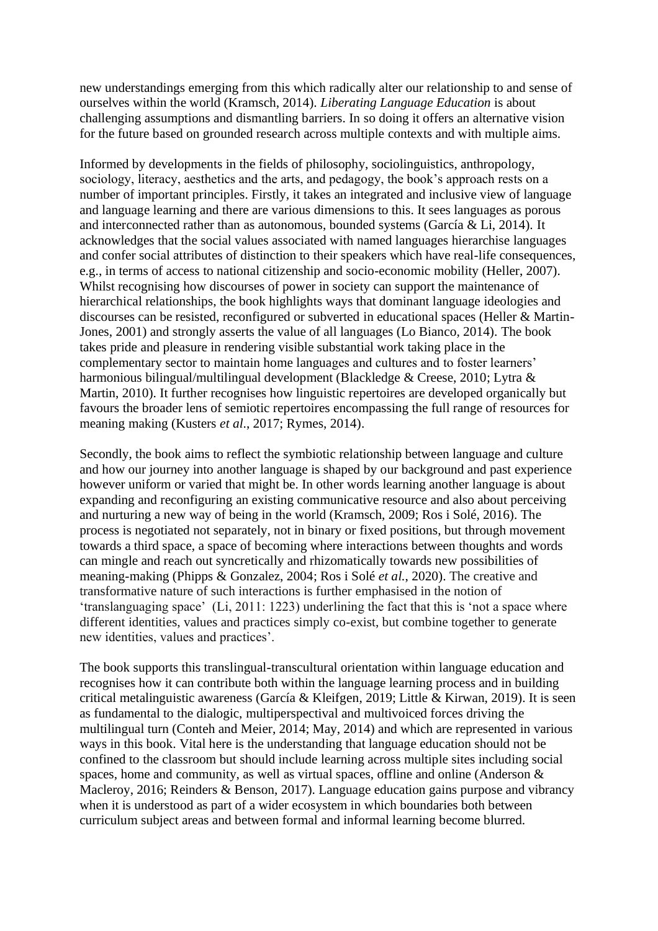new understandings emerging from this which radically alter our relationship to and sense of ourselves within the world (Kramsch, 2014). *Liberating Language Education* is about challenging assumptions and dismantling barriers. In so doing it offers an alternative vision for the future based on grounded research across multiple contexts and with multiple aims.

Informed by developments in the fields of philosophy, sociolinguistics, anthropology, sociology, literacy, aesthetics and the arts, and pedagogy, the book's approach rests on a number of important principles. Firstly, it takes an integrated and inclusive view of language and language learning and there are various dimensions to this. It sees languages as porous and interconnected rather than as autonomous, bounded systems (García & Li, 2014). It acknowledges that the social values associated with named languages hierarchise languages and confer social attributes of distinction to their speakers which have real-life consequences, e.g., in terms of access to national citizenship and socio-economic mobility (Heller, 2007). Whilst recognising how discourses of power in society can support the maintenance of hierarchical relationships, the book highlights ways that dominant language ideologies and discourses can be resisted, reconfigured or subverted in educational spaces (Heller & Martin-Jones, 2001) and strongly asserts the value of all languages (Lo Bianco, 2014). The book takes pride and pleasure in rendering visible substantial work taking place in the complementary sector to maintain home languages and cultures and to foster learners' harmonious bilingual/multilingual development (Blackledge & Creese, 2010; Lytra & Martin, 2010). It further recognises how linguistic repertoires are developed organically but favours the broader lens of semiotic repertoires encompassing the full range of resources for meaning making (Kusters *et al*., 2017; Rymes, 2014).

Secondly, the book aims to reflect the symbiotic relationship between language and culture and how our journey into another language is shaped by our background and past experience however uniform or varied that might be. In other words learning another language is about expanding and reconfiguring an existing communicative resource and also about perceiving and nurturing a new way of being in the world (Kramsch, 2009; Ros i Solé, 2016). The process is negotiated not separately, not in binary or fixed positions, but through movement towards a third space, a space of becoming where interactions between thoughts and words can mingle and reach out syncretically and rhizomatically towards new possibilities of meaning-making (Phipps & Gonzalez, 2004; Ros i Solé *et al.*, 2020). The creative and transformative nature of such interactions is further emphasised in the notion of 'translanguaging space' (Li, 2011: 1223) underlining the fact that this is 'not a space where different identities, values and practices simply co-exist, but combine together to generate new identities, values and practices'.

The book supports this translingual-transcultural orientation within language education and recognises how it can contribute both within the language learning process and in building critical metalinguistic awareness (García & Kleifgen, 2019; Little & Kirwan, 2019). It is seen as fundamental to the dialogic, multiperspectival and multivoiced forces driving the multilingual turn (Conteh and Meier, 2014; May, 2014) and which are represented in various ways in this book. Vital here is the understanding that language education should not be confined to the classroom but should include learning across multiple sites including social spaces, home and community, as well as virtual spaces, offline and online (Anderson & Macleroy, 2016; Reinders & Benson, 2017). Language education gains purpose and vibrancy when it is understood as part of a wider ecosystem in which boundaries both between curriculum subject areas and between formal and informal learning become blurred.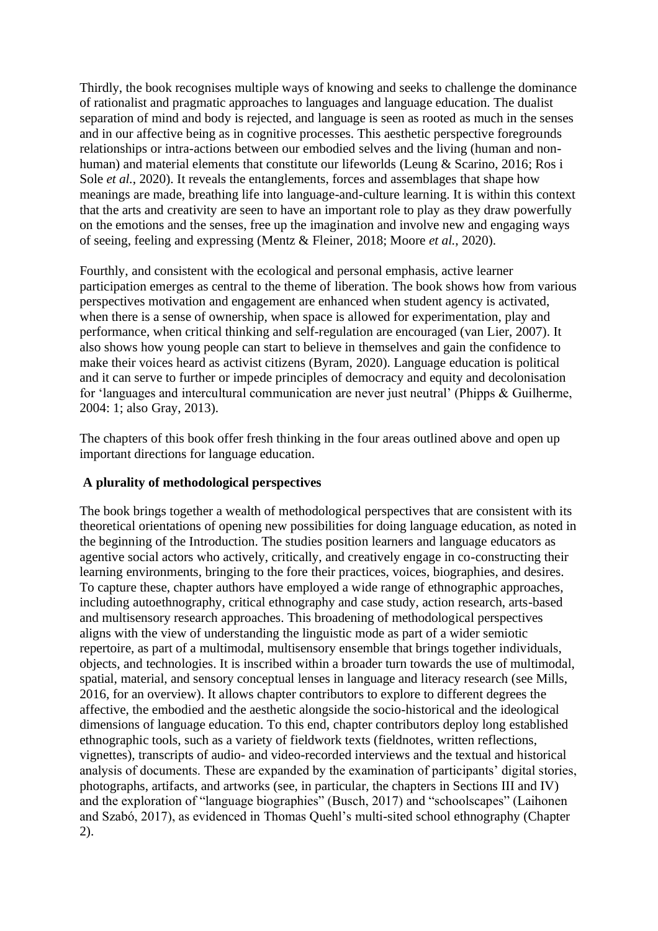Thirdly, the book recognises multiple ways of knowing and seeks to challenge the dominance of rationalist and pragmatic approaches to languages and language education. The dualist separation of mind and body is rejected, and language is seen as rooted as much in the senses and in our affective being as in cognitive processes. This aesthetic perspective foregrounds relationships or intra-actions between our embodied selves and the living (human and nonhuman) and material elements that constitute our lifeworlds (Leung & Scarino, 2016; Ros i Sole *et al.*, 2020). It reveals the entanglements, forces and assemblages that shape how meanings are made, breathing life into language-and-culture learning. It is within this context that the arts and creativity are seen to have an important role to play as they draw powerfully on the emotions and the senses, free up the imagination and involve new and engaging ways of seeing, feeling and expressing (Mentz & Fleiner, 2018; Moore *et al.*, 2020).

Fourthly, and consistent with the ecological and personal emphasis, active learner participation emerges as central to the theme of liberation. The book shows how from various perspectives motivation and engagement are enhanced when student agency is activated, when there is a sense of ownership, when space is allowed for experimentation, play and performance, when critical thinking and self-regulation are encouraged (van Lier, 2007). It also shows how young people can start to believe in themselves and gain the confidence to make their voices heard as activist citizens (Byram, 2020). Language education is political and it can serve to further or impede principles of democracy and equity and decolonisation for 'languages and intercultural communication are never just neutral' (Phipps & Guilherme, 2004: 1; also Gray, 2013).

The chapters of this book offer fresh thinking in the four areas outlined above and open up important directions for language education.

### **A plurality of methodological perspectives**

The book brings together a wealth of methodological perspectives that are consistent with its theoretical orientations of opening new possibilities for doing language education, as noted in the beginning of the Introduction. The studies position learners and language educators as agentive social actors who actively, critically, and creatively engage in co-constructing their learning environments, bringing to the fore their practices, voices, biographies, and desires. To capture these, chapter authors have employed a wide range of ethnographic approaches, including autoethnography, critical ethnography and case study, action research, arts-based and multisensory research approaches. This broadening of methodological perspectives aligns with the view of understanding the linguistic mode as part of a wider semiotic repertoire, as part of a multimodal, multisensory ensemble that brings together individuals, objects, and technologies. It is inscribed within a broader turn towards the use of multimodal, spatial, material, and sensory conceptual lenses in language and literacy research (see Mills, 2016, for an overview). It allows chapter contributors to explore to different degrees the affective, the embodied and the aesthetic alongside the socio-historical and the ideological dimensions of language education. To this end, chapter contributors deploy long established ethnographic tools, such as a variety of fieldwork texts (fieldnotes, written reflections, vignettes), transcripts of audio- and video-recorded interviews and the textual and historical analysis of documents. These are expanded by the examination of participants' digital stories, photographs, artifacts, and artworks (see, in particular, the chapters in Sections III and IV) and the exploration of "language biographies" (Busch, 2017) and "schoolscapes" (Laihonen and Szabó, 2017), as evidenced in Thomas Quehl's multi-sited school ethnography (Chapter 2).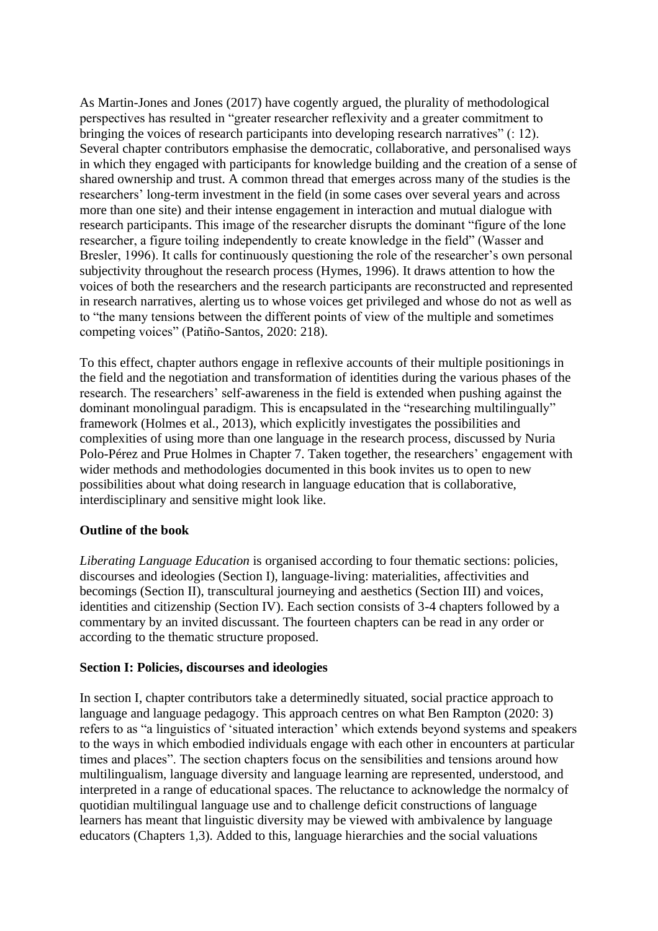As Martin-Jones and Jones (2017) have cogently argued, the plurality of methodological perspectives has resulted in "greater researcher reflexivity and a greater commitment to bringing the voices of research participants into developing research narratives" (: 12). Several chapter contributors emphasise the democratic, collaborative, and personalised ways in which they engaged with participants for knowledge building and the creation of a sense of shared ownership and trust. A common thread that emerges across many of the studies is the researchers' long-term investment in the field (in some cases over several years and across more than one site) and their intense engagement in interaction and mutual dialogue with research participants. This image of the researcher disrupts the dominant "figure of the lone researcher, a figure toiling independently to create knowledge in the field" (Wasser and Bresler, 1996). It calls for continuously questioning the role of the researcher's own personal subjectivity throughout the research process (Hymes, 1996). It draws attention to how the voices of both the researchers and the research participants are reconstructed and represented in research narratives, alerting us to whose voices get privileged and whose do not as well as to "the many tensions between the different points of view of the multiple and sometimes competing voices" (Patiño-Santos, 2020: 218).

To this effect, chapter authors engage in reflexive accounts of their multiple positionings in the field and the negotiation and transformation of identities during the various phases of the research. The researchers' self-awareness in the field is extended when pushing against the dominant monolingual paradigm. This is encapsulated in the "researching multilingually" framework (Holmes et al., 2013), which explicitly investigates the possibilities and complexities of using more than one language in the research process, discussed by Nuria Polo-Pérez and Prue Holmes in Chapter 7. Taken together, the researchers' engagement with wider methods and methodologies documented in this book invites us to open to new possibilities about what doing research in language education that is collaborative, interdisciplinary and sensitive might look like.

# **Outline of the book**

*Liberating Language Education* is organised according to four thematic sections: policies, discourses and ideologies (Section I), language-living: materialities, affectivities and becomings (Section II), transcultural journeying and aesthetics (Section III) and voices, identities and citizenship (Section IV). Each section consists of 3-4 chapters followed by a commentary by an invited discussant. The fourteen chapters can be read in any order or according to the thematic structure proposed.

### **Section I: Policies, discourses and ideologies**

In section I, chapter contributors take a determinedly situated, social practice approach to language and language pedagogy. This approach centres on what Ben Rampton (2020: 3) refers to as "a linguistics of 'situated interaction' which extends beyond systems and speakers to the ways in which embodied individuals engage with each other in encounters at particular times and places". The section chapters focus on the sensibilities and tensions around how multilingualism, language diversity and language learning are represented, understood, and interpreted in a range of educational spaces. The reluctance to acknowledge the normalcy of quotidian multilingual language use and to challenge deficit constructions of language learners has meant that linguistic diversity may be viewed with ambivalence by language educators (Chapters 1,3). Added to this, language hierarchies and the social valuations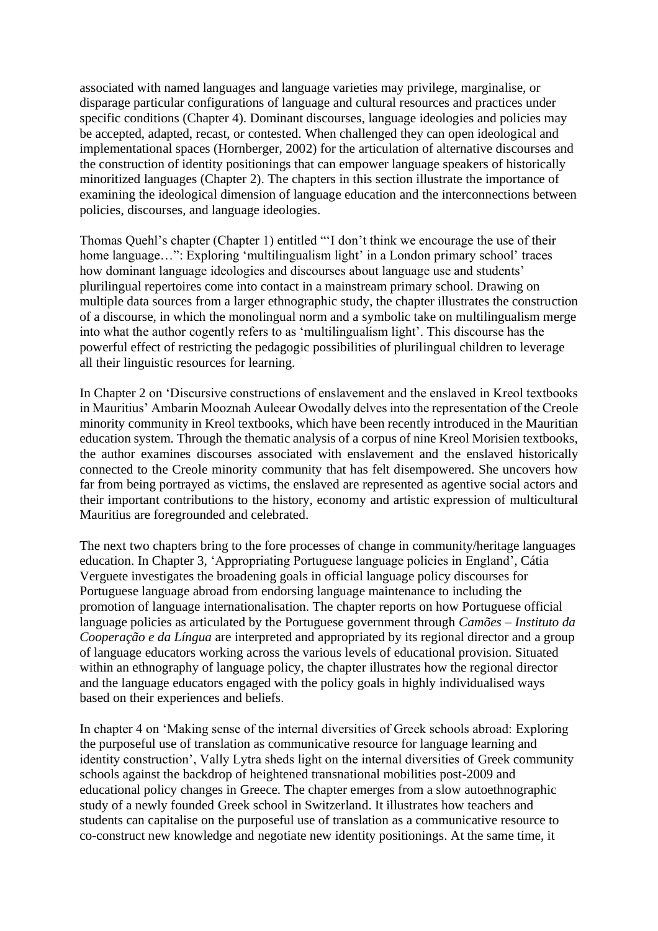associated with named languages and language varieties may privilege, marginalise, or disparage particular configurations of language and cultural resources and practices under specific conditions (Chapter 4). Dominant discourses, language ideologies and policies may be accepted, adapted, recast, or contested. When challenged they can open ideological and implementational spaces (Hornberger, 2002) for the articulation of alternative discourses and the construction of identity positionings that can empower language speakers of historically minoritized languages (Chapter 2). The chapters in this section illustrate the importance of examining the ideological dimension of language education and the interconnections between policies, discourses, and language ideologies.

Thomas Quehl's chapter (Chapter 1) entitled "'I don't think we encourage the use of their home language...": Exploring 'multilingualism light' in a London primary school' traces how dominant language ideologies and discourses about language use and students' plurilingual repertoires come into contact in a mainstream primary school. Drawing on multiple data sources from a larger ethnographic study, the chapter illustrates the construction of a discourse, in which the monolingual norm and a symbolic take on multilingualism merge into what the author cogently refers to as 'multilingualism light'. This discourse has the powerful effect of restricting the pedagogic possibilities of plurilingual children to leverage all their linguistic resources for learning.

In Chapter 2 on 'Discursive constructions of enslavement and the enslaved in Kreol textbooks in Mauritius' Ambarin Mooznah Auleear Owodally delves into the representation of the Creole minority community in Kreol textbooks, which have been recently introduced in the Mauritian education system. Through the thematic analysis of a corpus of nine Kreol Morisien textbooks, the author examines discourses associated with enslavement and the enslaved historically connected to the Creole minority community that has felt disempowered. She uncovers how far from being portrayed as victims, the enslaved are represented as agentive social actors and their important contributions to the history, economy and artistic expression of multicultural Mauritius are foregrounded and celebrated.

The next two chapters bring to the fore processes of change in community/heritage languages education. In Chapter 3, 'Appropriating Portuguese language policies in England', Cátia Verguete investigates the broadening goals in official language policy discourses for Portuguese language abroad from endorsing language maintenance to including the promotion of language internationalisation. The chapter reports on how Portuguese official language policies as articulated by the Portuguese government through *Camões – Instituto da Cooperação e da Língua* are interpreted and appropriated by its regional director and a group of language educators working across the various levels of educational provision. Situated within an ethnography of language policy, the chapter illustrates how the regional director and the language educators engaged with the policy goals in highly individualised ways based on their experiences and beliefs.

In chapter 4 on 'Making sense of the internal diversities of Greek schools abroad: Exploring the purposeful use of translation as communicative resource for language learning and identity construction', Vally Lytra sheds light on the internal diversities of Greek community schools against the backdrop of heightened transnational mobilities post-2009 and educational policy changes in Greece. The chapter emerges from a slow autoethnographic study of a newly founded Greek school in Switzerland. It illustrates how teachers and students can capitalise on the purposeful use of translation as a communicative resource to co-construct new knowledge and negotiate new identity positionings. At the same time, it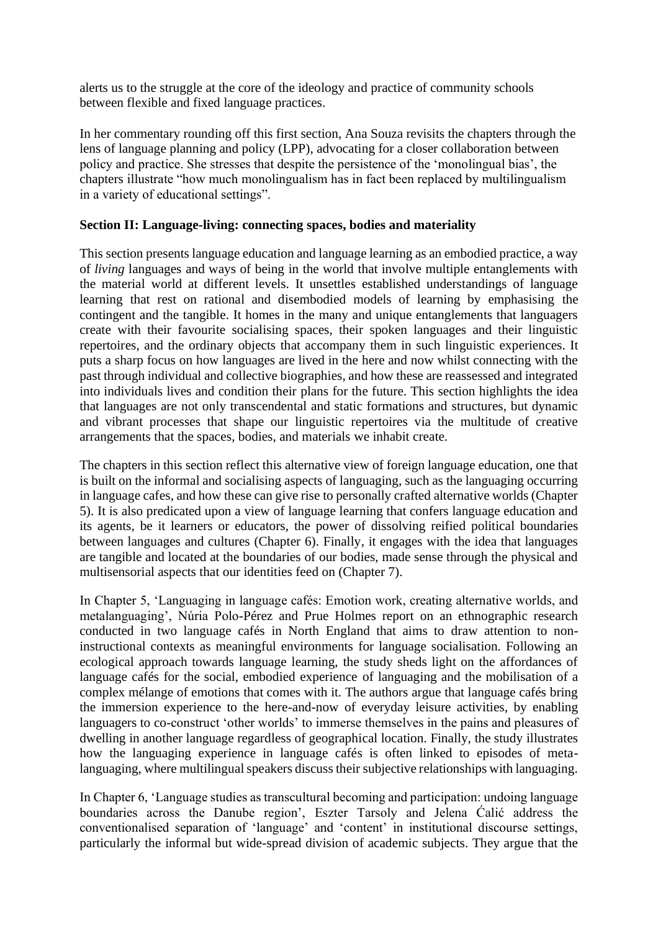alerts us to the struggle at the core of the ideology and practice of community schools between flexible and fixed language practices.

In her commentary rounding off this first section, Ana Souza revisits the chapters through the lens of language planning and policy (LPP), advocating for a closer collaboration between policy and practice. She stresses that despite the persistence of the 'monolingual bias', the chapters illustrate "how much monolingualism has in fact been replaced by multilingualism in a variety of educational settings".

## **Section II: Language-living: connecting spaces, bodies and materiality**

This section presents language education and language learning as an embodied practice, a way of *living* languages and ways of being in the world that involve multiple entanglements with the material world at different levels. It unsettles established understandings of language learning that rest on rational and disembodied models of learning by emphasising the contingent and the tangible. It homes in the many and unique entanglements that languagers create with their favourite socialising spaces, their spoken languages and their linguistic repertoires, and the ordinary objects that accompany them in such linguistic experiences. It puts a sharp focus on how languages are lived in the here and now whilst connecting with the past through individual and collective biographies, and how these are reassessed and integrated into individuals lives and condition their plans for the future. This section highlights the idea that languages are not only transcendental and static formations and structures, but dynamic and vibrant processes that shape our linguistic repertoires via the multitude of creative arrangements that the spaces, bodies, and materials we inhabit create.

The chapters in this section reflect this alternative view of foreign language education, one that is built on the informal and socialising aspects of languaging, such as the languaging occurring in language cafes, and how these can give rise to personally crafted alternative worlds (Chapter 5). It is also predicated upon a view of language learning that confers language education and its agents, be it learners or educators, the power of dissolving reified political boundaries between languages and cultures (Chapter 6). Finally, it engages with the idea that languages are tangible and located at the boundaries of our bodies, made sense through the physical and multisensorial aspects that our identities feed on (Chapter 7).

In Chapter 5, 'Languaging in language cafés: Emotion work, creating alternative worlds, and metalanguaging', Núria Polo-Pérez and Prue Holmes report on an ethnographic research conducted in two language cafés in North England that aims to draw attention to noninstructional contexts as meaningful environments for language socialisation. Following an ecological approach towards language learning, the study sheds light on the affordances of language cafés for the social, embodied experience of languaging and the mobilisation of a complex mélange of emotions that comes with it. The authors argue that language cafés bring the immersion experience to the here-and-now of everyday leisure activities, by enabling languagers to co-construct 'other worlds' to immerse themselves in the pains and pleasures of dwelling in another language regardless of geographical location. Finally, the study illustrates how the languaging experience in language cafés is often linked to episodes of metalanguaging, where multilingual speakers discuss their subjective relationships with languaging.

In Chapter 6, 'Language studies as transcultural becoming and participation: undoing language boundaries across the Danube region', Eszter Tarsoly and Jelena Ćalić address the conventionalised separation of 'language' and 'content' in institutional discourse settings, particularly the informal but wide-spread division of academic subjects. They argue that the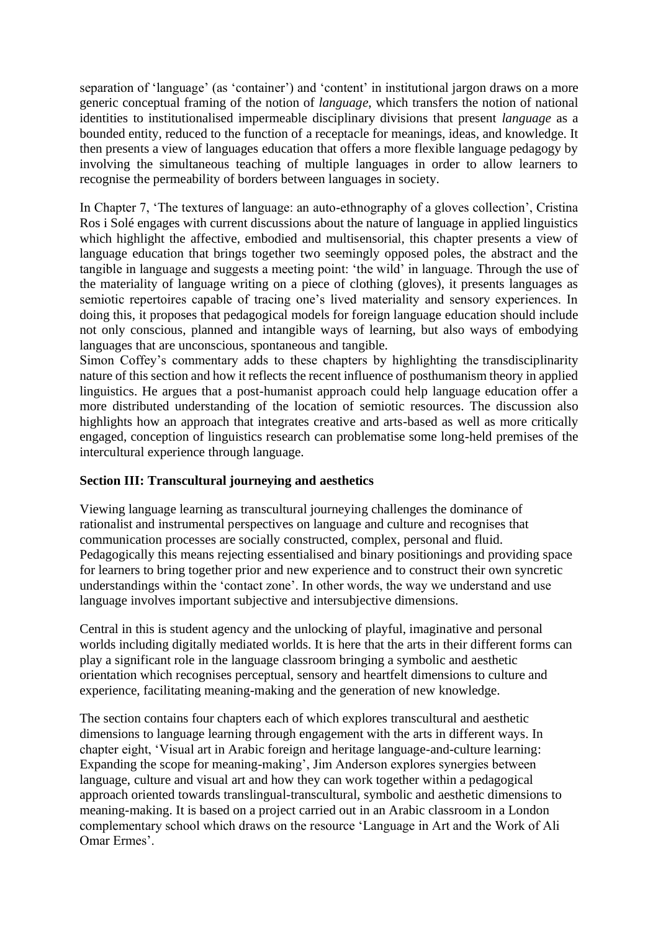separation of 'language' (as 'container') and 'content' in institutional jargon draws on a more generic conceptual framing of the notion of *language*, which transfers the notion of national identities to institutionalised impermeable disciplinary divisions that present *language* as a bounded entity, reduced to the function of a receptacle for meanings, ideas, and knowledge. It then presents a view of languages education that offers a more flexible language pedagogy by involving the simultaneous teaching of multiple languages in order to allow learners to recognise the permeability of borders between languages in society.

In Chapter 7, 'The textures of language: an auto-ethnography of a gloves collection', Cristina Ros i Solé engages with current discussions about the nature of language in applied linguistics which highlight the affective, embodied and multisensorial, this chapter presents a view of language education that brings together two seemingly opposed poles, the abstract and the tangible in language and suggests a meeting point: 'the wild' in language. Through the use of the materiality of language writing on a piece of clothing (gloves), it presents languages as semiotic repertoires capable of tracing one's lived materiality and sensory experiences. In doing this, it proposes that pedagogical models for foreign language education should include not only conscious, planned and intangible ways of learning, but also ways of embodying languages that are unconscious, spontaneous and tangible.

Simon Coffey's commentary adds to these chapters by highlighting the transdisciplinarity nature of this section and how it reflects the recent influence of posthumanism theory in applied linguistics. He argues that a post-humanist approach could help language education offer a more distributed understanding of the location of semiotic resources. The discussion also highlights how an approach that integrates creative and arts-based as well as more critically engaged, conception of linguistics research can problematise some long-held premises of the intercultural experience through language.

# **Section III: Transcultural journeying and aesthetics**

Viewing language learning as transcultural journeying challenges the dominance of rationalist and instrumental perspectives on language and culture and recognises that communication processes are socially constructed, complex, personal and fluid. Pedagogically this means rejecting essentialised and binary positionings and providing space for learners to bring together prior and new experience and to construct their own syncretic understandings within the 'contact zone'. In other words, the way we understand and use language involves important subjective and intersubjective dimensions.

Central in this is student agency and the unlocking of playful, imaginative and personal worlds including digitally mediated worlds. It is here that the arts in their different forms can play a significant role in the language classroom bringing a symbolic and aesthetic orientation which recognises perceptual, sensory and heartfelt dimensions to culture and experience, facilitating meaning-making and the generation of new knowledge.

The section contains four chapters each of which explores transcultural and aesthetic dimensions to language learning through engagement with the arts in different ways. In chapter eight, 'Visual art in Arabic foreign and heritage language-and-culture learning: Expanding the scope for meaning-making', Jim Anderson explores synergies between language, culture and visual art and how they can work together within a pedagogical approach oriented towards translingual-transcultural, symbolic and aesthetic dimensions to meaning-making. It is based on a project carried out in an Arabic classroom in a London complementary school which draws on the resource 'Language in Art and the Work of Ali Omar Ermes'.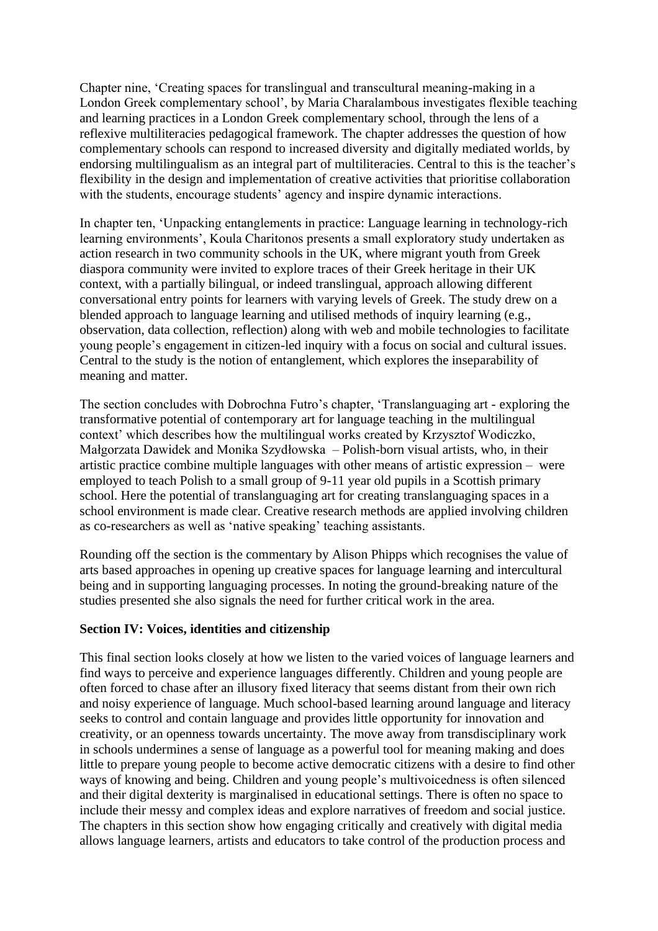Chapter nine, 'Creating spaces for translingual and transcultural meaning-making in a London Greek complementary school', by Maria Charalambous investigates flexible teaching and learning practices in a London Greek complementary school, through the lens of a reflexive multiliteracies pedagogical framework. The chapter addresses the question of how complementary schools can respond to increased diversity and digitally mediated worlds, by endorsing multilingualism as an integral part of multiliteracies. Central to this is the teacher's flexibility in the design and implementation of creative activities that prioritise collaboration with the students, encourage students' agency and inspire dynamic interactions.

In chapter ten, 'Unpacking entanglements in practice: Language learning in technology-rich learning environments', Koula Charitonos presents a small exploratory study undertaken as action research in two community schools in the UK, where migrant youth from Greek diaspora community were invited to explore traces of their Greek heritage in their UK context, with a partially bilingual, or indeed translingual, approach allowing different conversational entry points for learners with varying levels of Greek. The study drew on a blended approach to language learning and utilised methods of inquiry learning (e.g., observation, data collection, reflection) along with web and mobile technologies to facilitate young people's engagement in citizen-led inquiry with a focus on social and cultural issues. Central to the study is the notion of entanglement, which explores the inseparability of meaning and matter.

The section concludes with Dobrochna Futro's chapter, 'Translanguaging art - exploring the transformative potential of contemporary art for language teaching in the multilingual context' which describes how the multilingual works created by Krzysztof Wodiczko, Małgorzata Dawidek and Monika Szydłowska – Polish-born visual artists, who, in their artistic practice combine multiple languages with other means of artistic expression – were employed to teach Polish to a small group of 9-11 year old pupils in a Scottish primary school. Here the potential of translanguaging art for creating translanguaging spaces in a school environment is made clear. Creative research methods are applied involving children as co-researchers as well as 'native speaking' teaching assistants.

Rounding off the section is the commentary by Alison Phipps which recognises the value of arts based approaches in opening up creative spaces for language learning and intercultural being and in supporting languaging processes. In noting the ground-breaking nature of the studies presented she also signals the need for further critical work in the area.

### **Section IV: Voices, identities and citizenship**

This final section looks closely at how we listen to the varied voices of language learners and find ways to perceive and experience languages differently. Children and young people are often forced to chase after an illusory fixed literacy that seems distant from their own rich and noisy experience of language. Much school-based learning around language and literacy seeks to control and contain language and provides little opportunity for innovation and creativity, or an openness towards uncertainty. The move away from transdisciplinary work in schools undermines a sense of language as a powerful tool for meaning making and does little to prepare young people to become active democratic citizens with a desire to find other ways of knowing and being. Children and young people's multivoicedness is often silenced and their digital dexterity is marginalised in educational settings. There is often no space to include their messy and complex ideas and explore narratives of freedom and social justice. The chapters in this section show how engaging critically and creatively with digital media allows language learners, artists and educators to take control of the production process and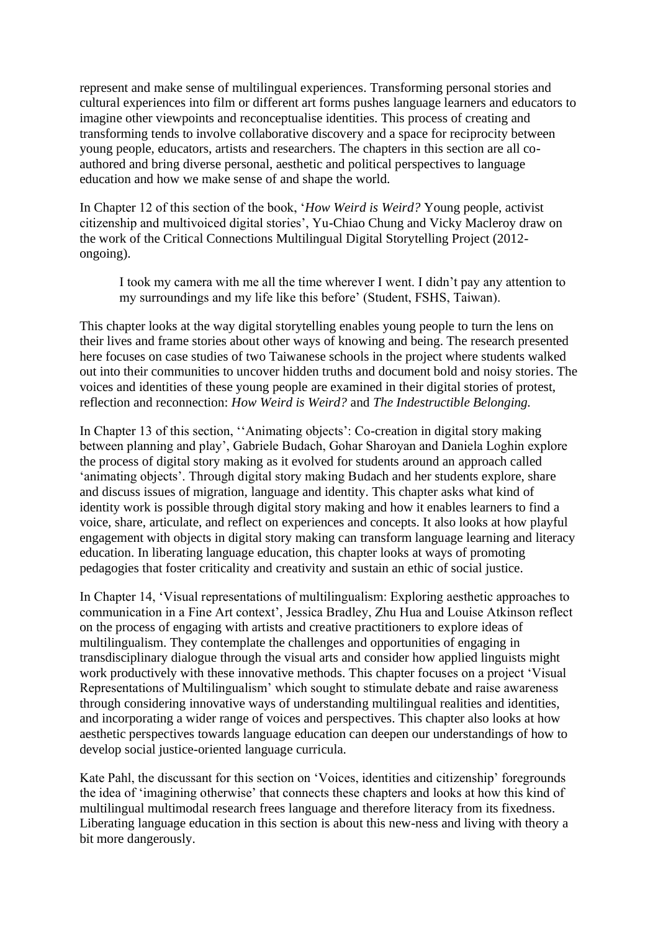represent and make sense of multilingual experiences. Transforming personal stories and cultural experiences into film or different art forms pushes language learners and educators to imagine other viewpoints and reconceptualise identities. This process of creating and transforming tends to involve collaborative discovery and a space for reciprocity between young people, educators, artists and researchers. The chapters in this section are all coauthored and bring diverse personal, aesthetic and political perspectives to language education and how we make sense of and shape the world.

In Chapter 12 of this section of the book, '*How Weird is Weird?* Young people, activist citizenship and multivoiced digital stories', Yu-Chiao Chung and Vicky Macleroy draw on the work of the Critical Connections Multilingual Digital Storytelling Project (2012 ongoing).

I took my camera with me all the time wherever I went. I didn't pay any attention to my surroundings and my life like this before' (Student, FSHS, Taiwan).

This chapter looks at the way digital storytelling enables young people to turn the lens on their lives and frame stories about other ways of knowing and being. The research presented here focuses on case studies of two Taiwanese schools in the project where students walked out into their communities to uncover hidden truths and document bold and noisy stories. The voices and identities of these young people are examined in their digital stories of protest, reflection and reconnection: *How Weird is Weird?* and *The Indestructible Belonging.*

In Chapter 13 of this section, ''Animating objects': Co-creation in digital story making between planning and play', Gabriele Budach, Gohar Sharoyan and Daniela Loghin explore the process of digital story making as it evolved for students around an approach called 'animating objects'. Through digital story making Budach and her students explore, share and discuss issues of migration, language and identity. This chapter asks what kind of identity work is possible through digital story making and how it enables learners to find a voice, share, articulate, and reflect on experiences and concepts. It also looks at how playful engagement with objects in digital story making can transform language learning and literacy education. In liberating language education, this chapter looks at ways of promoting pedagogies that foster criticality and creativity and sustain an ethic of social justice.

In Chapter 14, 'Visual representations of multilingualism: Exploring aesthetic approaches to communication in a Fine Art context', Jessica Bradley, Zhu Hua and Louise Atkinson reflect on the process of engaging with artists and creative practitioners to explore ideas of multilingualism. They contemplate the challenges and opportunities of engaging in transdisciplinary dialogue through the visual arts and consider how applied linguists might work productively with these innovative methods. This chapter focuses on a project 'Visual Representations of Multilingualism' which sought to stimulate debate and raise awareness through considering innovative ways of understanding multilingual realities and identities, and incorporating a wider range of voices and perspectives. This chapter also looks at how aesthetic perspectives towards language education can deepen our understandings of how to develop social justice-oriented language curricula.

Kate Pahl, the discussant for this section on 'Voices, identities and citizenship' foregrounds the idea of 'imagining otherwise' that connects these chapters and looks at how this kind of multilingual multimodal research frees language and therefore literacy from its fixedness. Liberating language education in this section is about this new-ness and living with theory a bit more dangerously.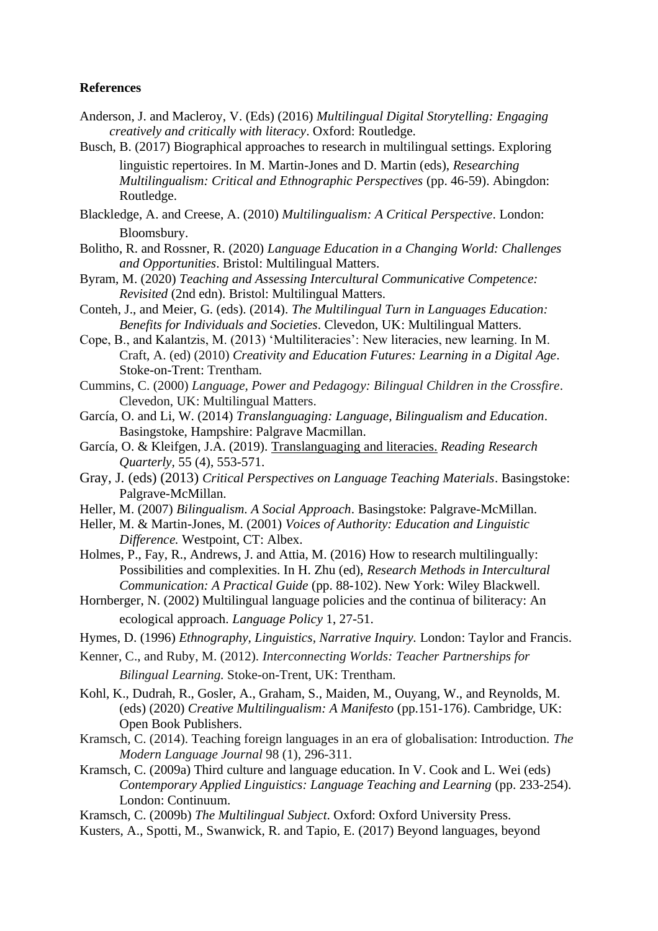#### **References**

- Anderson, J. and Macleroy, V. (Eds) (2016) *Multilingual Digital Storytelling: Engaging creatively and critically with literacy*. Oxford: Routledge.
- Busch, B. (2017) Biographical approaches to research in multilingual settings. Exploring linguistic repertoires. In M. Martin-Jones and D. Martin (eds), *Researching Multilingualism: Critical and Ethnographic Perspectives* (pp. 46-59). Abingdon: Routledge.
- Blackledge, A. and Creese, A. (2010) *Multilingualism: A Critical Perspective*. London: Bloomsbury.
- Bolitho, R. and Rossner, R. (2020) *Language Education in a Changing World: Challenges and Opportunities*. Bristol: Multilingual Matters.
- Byram, M. (2020) *Teaching and Assessing Intercultural Communicative Competence: Revisited* (2nd edn). Bristol: Multilingual Matters.
- Conteh, J., and Meier, G. (eds). (2014). *The Multilingual Turn in Languages Education: Benefits for Individuals and Societies*. Clevedon, UK: Multilingual Matters.
- Cope, B., and Kalantzis, M. (2013) 'Multiliteracies': New literacies, new learning. In M. Craft, A. (ed) (2010) *Creativity and Education Futures: Learning in a Digital Age*. Stoke-on-Trent: Trentham.
- Cummins, C. (2000) *Language, Power and Pedagogy: Bilingual Children in the Crossfire*. Clevedon, UK: Multilingual Matters.
- García, O. and Li, W. (2014) *Translanguaging: Language, Bilingualism and Education*. Basingstoke, Hampshire: Palgrave Macmillan.
- García, O. & Kleifgen, J.A. (2019). [Translanguaging and literacies.](https://ofeliagarciadotorg.files.wordpress.com/2019/12/garciakleifgen-translanguaging-and-literacies.pdf) *Reading Research Quarterly,* 55 (4), 553-571.
- Gray, J. (eds) (2013) *Critical Perspectives on Language Teaching Materials*. Basingstoke: Palgrave-McMillan.
- Heller, M. (2007) *Bilingualism. A Social Approach*. Basingstoke: Palgrave-McMillan.
- Heller, M. & Martin-Jones, M. (2001) *Voices of Authority: Education and Linguistic Difference.* Westpoint, CT: Albex.
- Holmes, P., Fay, R., Andrews, J. and Attia, M. (2016) How to research multilingually: Possibilities and complexities. In H. Zhu (ed), *Research Methods in Intercultural Communication: A Practical Guide* (pp. 88-102). New York: Wiley Blackwell.
- Hornberger, N. (2002) Multilingual language policies and the continua of biliteracy: An ecological approach. *Language Policy* 1, 27-51.
- Hymes, D. (1996) *Ethnography, Linguistics, Narrative Inquiry.* London: Taylor and Francis.
- Kenner, C., and Ruby, M. (2012). *Interconnecting Worlds: Teacher Partnerships for Bilingual Learning.* Stoke-on-Trent, UK: Trentham.
- Kohl, K., Dudrah, R., Gosler, A., Graham, S., Maiden, M., Ouyang, W., and Reynolds, M. (eds) (2020) *Creative Multilingualism: A Manifesto* (pp.151-176). Cambridge, UK: Open Book Publishers.
- Kramsch, C. (2014). Teaching foreign languages in an era of globalisation: Introduction. *The Modern Language Journal* 98 (1), 296-311.
- Kramsch, C. (2009a) Third culture and language education. In V. Cook and L. Wei (eds) *Contemporary Applied Linguistics: Language Teaching and Learning* (pp. 233-254). London: Continuum.
- Kramsch, C. (2009b) *The Multilingual Subject*. Oxford: Oxford University Press.
- Kusters, A., Spotti, M., Swanwick, R. and Tapio, E. (2017) Beyond languages, beyond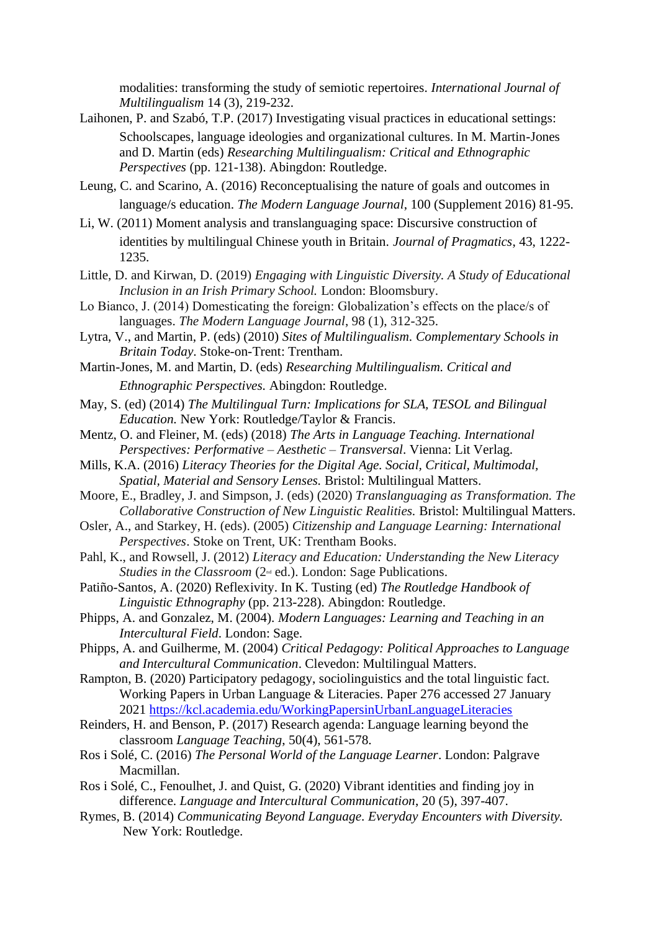modalities: transforming the study of semiotic repertoires. *International Journal of Multilingualism* 14 (3), 219-232.

- Laihonen, P. and Szabó, T.P. (2017) Investigating visual practices in educational settings: Schoolscapes, language ideologies and organizational cultures. In M. Martin-Jones and D. Martin (eds) *Researching Multilingualism: Critical and Ethnographic Perspectives* (pp. 121-138). Abingdon: Routledge.
- Leung, C. and Scarino, A. (2016) Reconceptualising the nature of goals and outcomes in language/s education. *The Modern Language Journal*, 100 (Supplement 2016) 81-95.
- Li, W. (2011) Moment analysis and translanguaging space: Discursive construction of identities by multilingual Chinese youth in Britain. *Journal of Pragmatics*, 43, 1222- 1235.
- Little, D. and Kirwan, D. (2019) *Engaging with Linguistic Diversity. A Study of Educational Inclusion in an Irish Primary School.* London: Bloomsbury.
- Lo Bianco, J. (2014) Domesticating the foreign: Globalization's effects on the place/s of languages. *The Modern Language Journal*, 98 (1), 312-325.
- Lytra, V., and Martin, P. (eds) (2010) *Sites of Multilingualism. Complementary Schools in Britain Today*. Stoke-on-Trent: Trentham.
- Martin-Jones, M. and Martin, D. (eds) *Researching Multilingualism. Critical and Ethnographic Perspectives.* Abingdon: Routledge.
- May, S. (ed) (2014) *The Multilingual Turn: Implications for SLA, TESOL and Bilingual Education.* New York: Routledge/Taylor & Francis.
- Mentz, O. and Fleiner, M. (eds) (2018) *The Arts in Language Teaching. International Perspectives: Performative – Aesthetic – Transversal*. Vienna: Lit Verlag.
- Mills, K.A. (2016) *Literacy Theories for the Digital Age. Social, Critical, Multimodal, Spatial, Material and Sensory Lenses.* Bristol: Multilingual Matters.
- Moore, E., Bradley, J. and Simpson, J. (eds) (2020) *Translanguaging as Transformation. The Collaborative Construction of New Linguistic Realities.* Bristol: Multilingual Matters.
- Osler, A., and Starkey, H. (eds). (2005) *Citizenship and Language Learning: International Perspectives*. Stoke on Trent, UK: Trentham Books.
- Pahl, K., and Rowsell, J. (2012) *Literacy and Education: Understanding the New Literacy Studies in the Classroom* (2<sup>nd</sup> ed.). London: Sage Publications.
- Patiño-Santos, A. (2020) Reflexivity. In K. Tusting (ed) *The Routledge Handbook of Linguistic Ethnography* (pp. 213-228). Abingdon: Routledge.
- Phipps, A. and Gonzalez, M. (2004). *Modern Languages: Learning and Teaching in an Intercultural Field*. London: Sage.

Phipps, A. and Guilherme, M. (2004) *Critical Pedagogy: Political Approaches to Language and Intercultural Communication*. Clevedon: Multilingual Matters.

- Rampton, B. (2020) Participatory pedagogy, sociolinguistics and the total linguistic fact. Working Papers in Urban Language & Literacies. Paper 276 accessed 27 January 2021 <https://kcl.academia.edu/WorkingPapersinUrbanLanguageLiteracies>
- Reinders, H. and Benson, P. (2017) Research agenda: Language learning beyond the classroom *Language Teaching*, 50(4), 561-578.
- Ros i Solé, C. (2016) *The Personal World of the Language Learner*. London: Palgrave Macmillan.
- Ros i Solé, C., Fenoulhet, J. and Quist, G. (2020) Vibrant identities and finding joy in difference. *Language and Intercultural Communication*, 20 (5), 397-407.
- Rymes, B. (2014) *Communicating Beyond Language. Everyday Encounters with Diversity.* New York: Routledge.